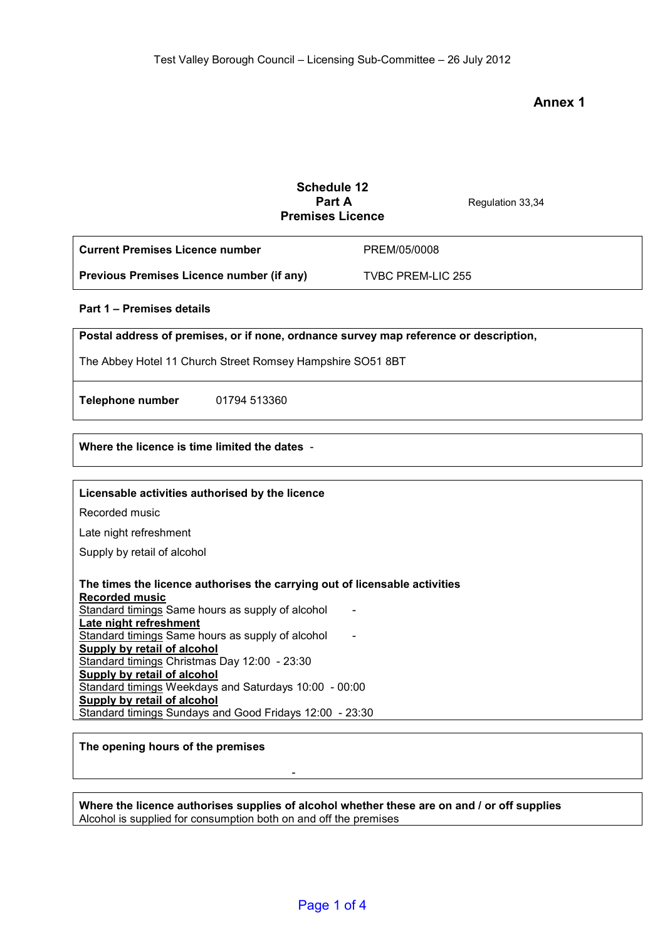# **Annex 1**

# **Schedule 12 Regulation 33,34 Premises Licence Current Premises Licence number Previous Premises Licence number (if any)**  PREM/05/0008 TVBC PREM-LIC 255 **Part 1 – Premises details Postal address of premises, or if none, ordnance survey map reference or description,**  The Abbey Hotel 11 Church Street Romsey Hampshire SO51 8BT **Telephone number** 01794 513360 **Where the licence is time limited the dates** - **Licensable activities authorised by the licence**  Recorded music Late night refreshment Supply by retail of alcohol **The times the licence authorises the carrying out of licensable activities Recorded music**  Standard timings Same hours as supply of alcohol **Late night refreshment**  Standard timings Same hours as supply of alcohol **Supply by retail of alcohol**  Standard timings Christmas Day 12:00 - 23:30 **Supply by retail of alcohol**  Standard timings Weekdays and Saturdays 10:00 - 00:00 **Supply by retail of alcohol**  Standard timings Sundays and Good Fridays 12:00 - 23:30 **The opening hours of the premises**

**Where the licence authorises supplies of alcohol whether these are on and / or off supplies**  Alcohol is supplied for consumption both on and off the premises

-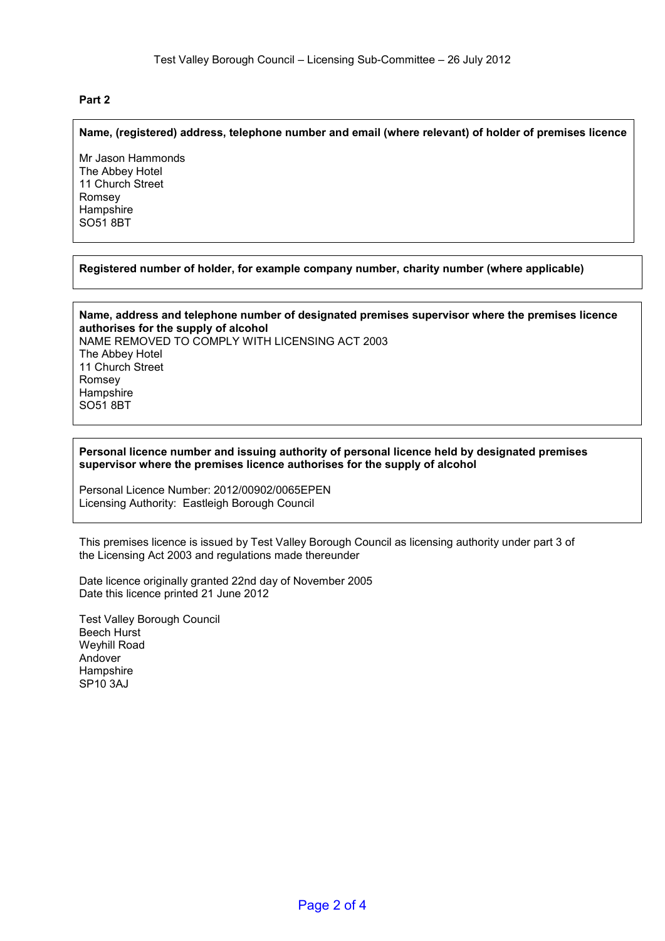# **Part 2**

#### **Name, (registered) address, telephone number and email (where relevant) of holder of premises licence**

Mr Jason Hammonds The Abbey Hotel 11 Church Street Romsey **Hampshire** SO51 8BT

# **Registered number of holder, for example company number, charity number (where applicable)**

**Name, address and telephone number of designated premises supervisor where the premises licence authorises for the supply of alcohol**  NAME REMOVED TO COMPLY WITH LICENSING ACT 2003 The Abbey Hotel 11 Church Street Romsey **Hampshire** SO51 8BT

#### **Personal licence number and issuing authority of personal licence held by designated premises supervisor where the premises licence authorises for the supply of alcohol**

Personal Licence Number: 2012/00902/0065EPEN Licensing Authority: Eastleigh Borough Council

This premises licence is issued by Test Valley Borough Council as licensing authority under part 3 of the Licensing Act 2003 and regulations made thereunder

Date licence originally granted 22nd day of November 2005 Date this licence printed 21 June 2012

Test Valley Borough Council Beech Hurst Weyhill Road Andover **Hampshire** SP10 3AJ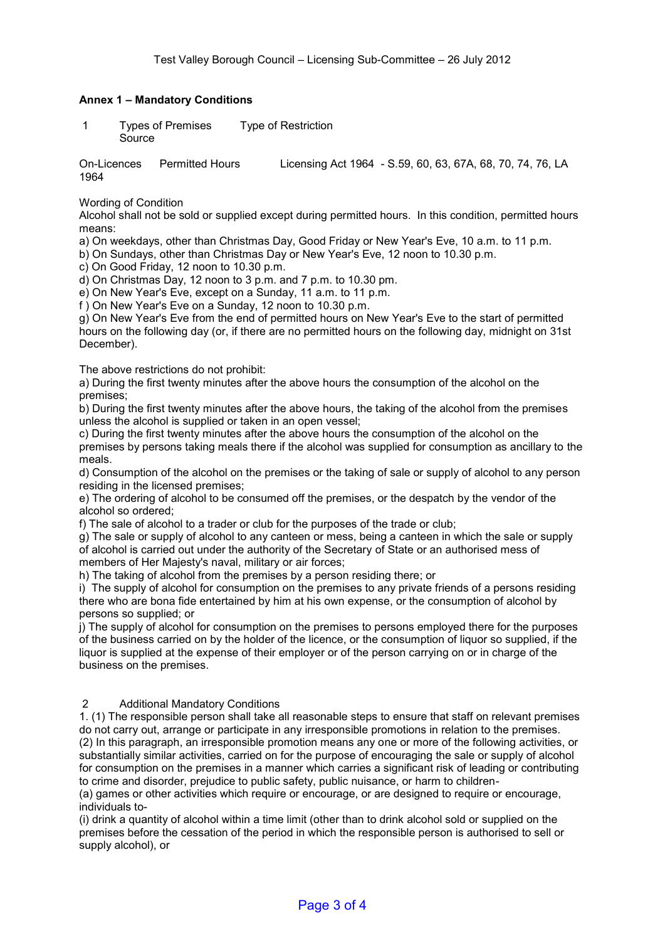# **Annex 1 – Mandatory Conditions**

 1 Types of Premises Type of Restriction Source

On-Licences Permitted Hours Licensing Act 1964 - S.59, 60, 63, 67A, 68, 70, 74, 76, LA 1964

Wording of Condition

Alcohol shall not be sold or supplied except during permitted hours. In this condition, permitted hours means:

a) On weekdays, other than Christmas Day, Good Friday or New Year's Eve, 10 a.m. to 11 p.m.

b) On Sundays, other than Christmas Day or New Year's Eve, 12 noon to 10.30 p.m.

c) On Good Friday, 12 noon to 10.30 p.m.

d) On Christmas Day, 12 noon to 3 p.m. and 7 p.m. to 10.30 pm.

e) On New Year's Eve, except on a Sunday, 11 a.m. to 11 p.m.

f ) On New Year's Eve on a Sunday, 12 noon to 10.30 p.m.

g) On New Year's Eve from the end of permitted hours on New Year's Eve to the start of permitted hours on the following day (or, if there are no permitted hours on the following day, midnight on 31st December).

The above restrictions do not prohibit:

a) During the first twenty minutes after the above hours the consumption of the alcohol on the premises;

b) During the first twenty minutes after the above hours, the taking of the alcohol from the premises unless the alcohol is supplied or taken in an open vessel;

c) During the first twenty minutes after the above hours the consumption of the alcohol on the premises by persons taking meals there if the alcohol was supplied for consumption as ancillary to the meals.

d) Consumption of the alcohol on the premises or the taking of sale or supply of alcohol to any person residing in the licensed premises;

e) The ordering of alcohol to be consumed off the premises, or the despatch by the vendor of the alcohol so ordered;

f) The sale of alcohol to a trader or club for the purposes of the trade or club;

g) The sale or supply of alcohol to any canteen or mess, being a canteen in which the sale or supply of alcohol is carried out under the authority of the Secretary of State or an authorised mess of members of Her Majesty's naval, military or air forces;

h) The taking of alcohol from the premises by a person residing there; or

i) The supply of alcohol for consumption on the premises to any private friends of a persons residing there who are bona fide entertained by him at his own expense, or the consumption of alcohol by persons so supplied; or

j) The supply of alcohol for consumption on the premises to persons employed there for the purposes of the business carried on by the holder of the licence, or the consumption of liquor so supplied, if the liquor is supplied at the expense of their employer or of the person carrying on or in charge of the business on the premises.

# 2 Additional Mandatory Conditions

1. (1) The responsible person shall take all reasonable steps to ensure that staff on relevant premises do not carry out, arrange or participate in any irresponsible promotions in relation to the premises. (2) In this paragraph, an irresponsible promotion means any one or more of the following activities, or substantially similar activities, carried on for the purpose of encouraging the sale or supply of alcohol for consumption on the premises in a manner which carries a significant risk of leading or contributing to crime and disorder, prejudice to public safety, public nuisance, or harm to children-

(a) games or other activities which require or encourage, or are designed to require or encourage, individuals to-

(i) drink a quantity of alcohol within a time limit (other than to drink alcohol sold or supplied on the premises before the cessation of the period in which the responsible person is authorised to sell or supply alcohol), or